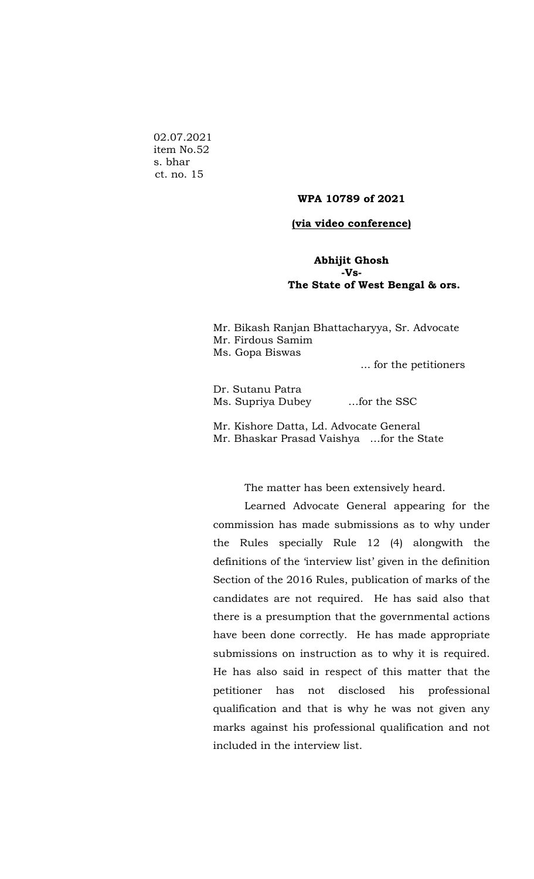02.07.2021 item No.52 s. bhar ct. no. 15

## **WPA 10789 of 2021**

## **(via video conference)**

## **Abhijit Ghosh -Vs- The State of West Bengal & ors.**

| Mr. Bikash Ranjan Bhattacharyya, Sr. Advocate |
|-----------------------------------------------|
| Mr. Firdous Samim                             |
| Ms. Gopa Biswas                               |
| for the petitioners                           |

Dr. Sutanu Patra Ms. Supriya Dubey …for the SSC

Mr. Kishore Datta, Ld. Advocate General Mr. Bhaskar Prasad Vaishya …for the State

The matter has been extensively heard.

Learned Advocate General appearing for the commission has made submissions as to why under the Rules specially Rule 12 (4) alongwith the definitions of the 'interview list' given in the definition Section of the 2016 Rules, publication of marks of the candidates are not required. He has said also that there is a presumption that the governmental actions have been done correctly. He has made appropriate submissions on instruction as to why it is required. He has also said in respect of this matter that the petitioner has not disclosed his professional qualification and that is why he was not given any marks against his professional qualification and not included in the interview list.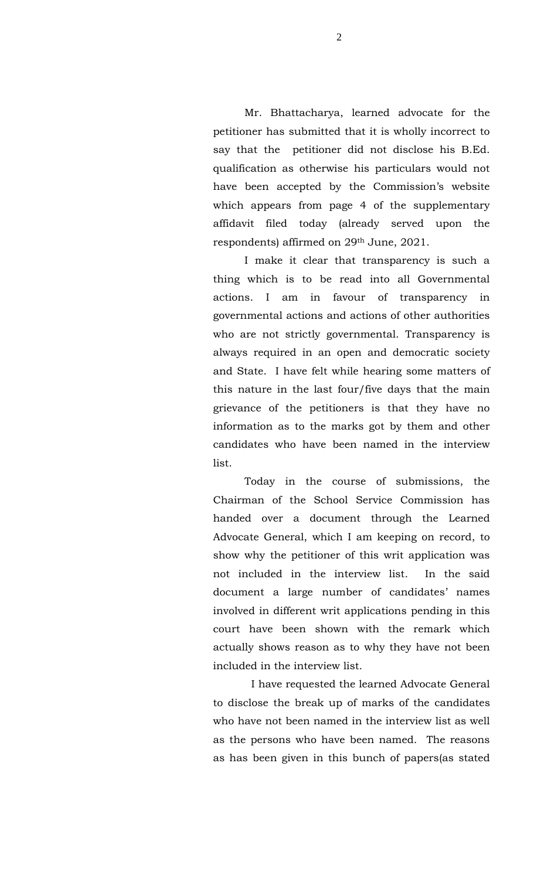Mr. Bhattacharya, learned advocate for the petitioner has submitted that it is wholly incorrect to say that the petitioner did not disclose his B.Ed. qualification as otherwise his particulars would not have been accepted by the Commission's website which appears from page 4 of the supplementary affidavit filed today (already served upon the respondents) affirmed on 29th June, 2021.

I make it clear that transparency is such a thing which is to be read into all Governmental actions. I am in favour of transparency in governmental actions and actions of other authorities who are not strictly governmental. Transparency is always required in an open and democratic society and State. I have felt while hearing some matters of this nature in the last four/five days that the main grievance of the petitioners is that they have no information as to the marks got by them and other candidates who have been named in the interview list.

Today in the course of submissions, the Chairman of the School Service Commission has handed over a document through the Learned Advocate General, which I am keeping on record, to show why the petitioner of this writ application was not included in the interview list. In the said document a large number of candidates' names involved in different writ applications pending in this court have been shown with the remark which actually shows reason as to why they have not been included in the interview list.

 I have requested the learned Advocate General to disclose the break up of marks of the candidates who have not been named in the interview list as well as the persons who have been named. The reasons as has been given in this bunch of papers(as stated